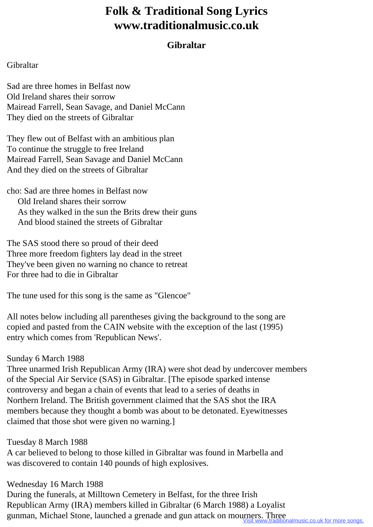# **Folk & Traditional Song Lyrics www.traditionalmusic.co.uk**

## **Gibraltar**

#### Gibraltar

Sad are three homes in Belfast now Old Ireland shares their sorrow Mairead Farrell, Sean Savage, and Daniel McCann They died on the streets of Gibraltar

They flew out of Belfast with an ambitious plan To continue the struggle to free Ireland Mairead Farrell, Sean Savage and Daniel McCann And they died on the streets of Gibraltar

cho: Sad are three homes in Belfast now Old Ireland shares their sorrow As they walked in the sun the Brits drew their guns And blood stained the streets of Gibraltar

The SAS stood there so proud of their deed Three more freedom fighters lay dead in the street They've been given no warning no chance to retreat For three had to die in Gibraltar

The tune used for this song is the same as "Glencoe"

All notes below including all parentheses giving the background to the song are copied and pasted from the CAIN website with the exception of the last (1995) entry which comes from 'Republican News'.

### Sunday 6 March 1988

Three unarmed Irish Republican Army (IRA) were shot dead by undercover members of the Special Air Service (SAS) in Gibraltar. [The episode sparked intense controversy and began a chain of events that lead to a series of deaths in Northern Ireland. The British government claimed that the SAS shot the IRA members because they thought a bomb was about to be detonated. Eyewitnesses claimed that those shot were given no warning.]

Tuesday 8 March 1988 A car believed to belong to those killed in Gibraltar was found in Marbella and was discovered to contain 140 pounds of high explosives.

Wednesday 16 March 1988 During the funerals, at Milltown Cemetery in Belfast, for the three Irish Republican Army (IRA) members killed in Gibraltar (6 March 1988) a Loyalist gunman, Michael Stone, launched a grenade and gun attack on mourners. Three<br>Visit www.traditionalmusic.co.uk for more songs.